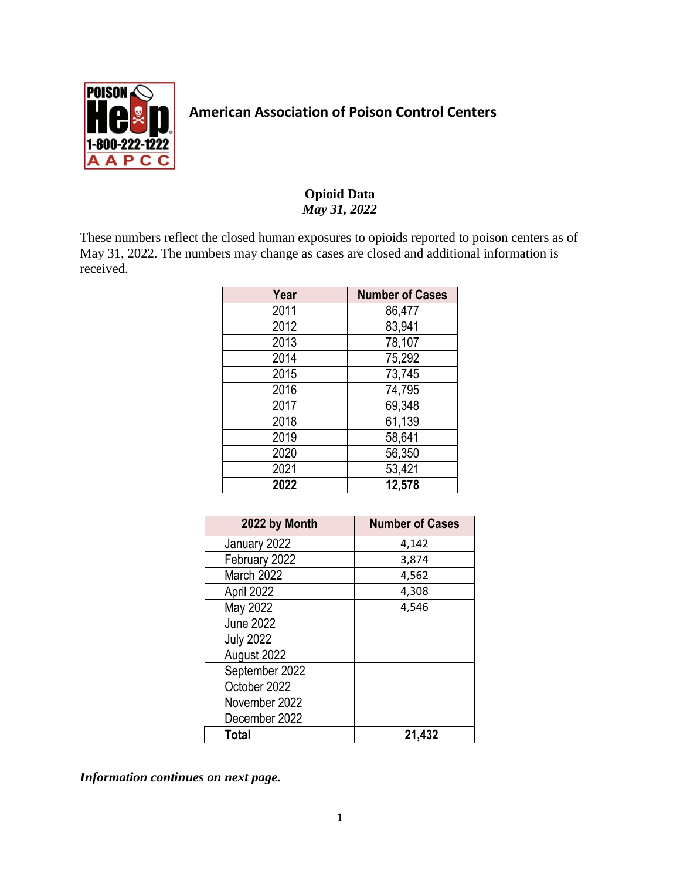

## **American Association of Poison Control Centers**

## **Opioid Data** *May 31, 2022*

These numbers reflect the closed human exposures to opioids reported to poison centers as of May 31, 2022. The numbers may change as cases are closed and additional information is received.

| Year | <b>Number of Cases</b> |
|------|------------------------|
| 2011 | 86,477                 |
| 2012 | 83,941                 |
| 2013 | 78,107                 |
| 2014 | 75,292                 |
| 2015 | 73,745                 |
| 2016 | 74,795                 |
| 2017 | 69,348                 |
| 2018 | 61,139                 |
| 2019 | 58,641                 |
| 2020 | 56,350                 |
| 2021 | 53,421                 |
| 2022 | 12,578                 |

| 2022 by Month    | <b>Number of Cases</b> |
|------------------|------------------------|
| January 2022     | 4,142                  |
| February 2022    | 3,874                  |
| March 2022       | 4,562                  |
| April 2022       | 4,308                  |
| May 2022         | 4,546                  |
| <b>June 2022</b> |                        |
| <b>July 2022</b> |                        |
| August 2022      |                        |
| September 2022   |                        |
| October 2022     |                        |
| November 2022    |                        |
| December 2022    |                        |
| Total            | 21,432                 |

*Information continues on next page.*